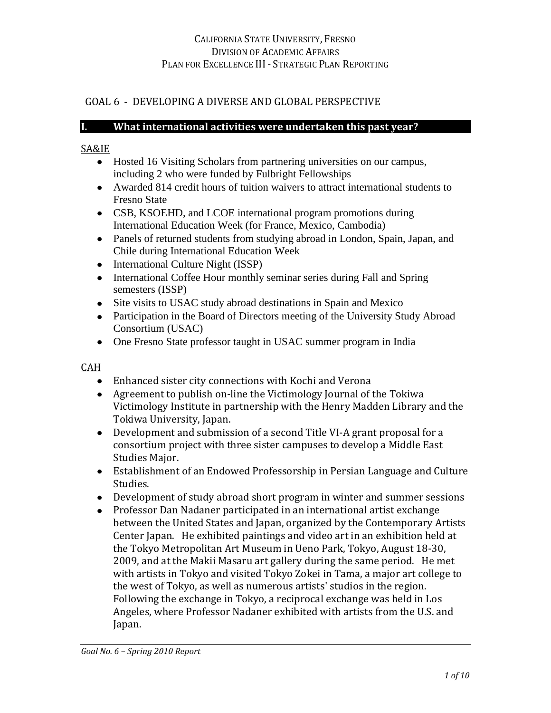# GOAL 6 - DEVELOPING A DIVERSE AND GLOBAL PERSPECTIVE

#### **I. What international activities were undertaken this past year?**

#### SA&IE

- Hosted 16 Visiting Scholars from partnering universities on our campus, including 2 who were funded by Fulbright Fellowships
- Awarded 814 credit hours of tuition waivers to attract international students to Fresno State
- CSB, KSOEHD, and LCOE international program promotions during International Education Week (for France, Mexico, Cambodia)
- Panels of returned students from studying abroad in London, Spain, Japan, and Chile during International Education Week
- International Culture Night (ISSP)
- International Coffee Hour monthly seminar series during Fall and Spring semesters (ISSP)
- Site visits to USAC study abroad destinations in Spain and Mexico
- Participation in the Board of Directors meeting of the University Study Abroad Consortium (USAC)
- One Fresno State professor taught in USAC summer program in India

### CAH

- Enhanced sister city connections with Kochi and Verona
- Agreement to publish on-line the Victimology Journal of the Tokiwa Victimology Institute in partnership with the Henry Madden Library and the Tokiwa University, Japan.
- Development and submission of a second Title VI-A grant proposal for a consortium project with three sister campuses to develop a Middle East Studies Major.
- Establishment of an Endowed Professorship in Persian Language and Culture Studies.
- Development of study abroad short program in winter and summer sessions
- Professor Dan Nadaner participated in an international artist exchange between the United States and Japan, organized by the Contemporary Artists Center Japan. He exhibited paintings and video art in an exhibition held at the Tokyo Metropolitan Art Museum in Ueno Park, Tokyo, August 18-30, 2009, and at the Makii Masaru art gallery during the same period. He met with artists in Tokyo and visited Tokyo Zokei in Tama, a major art college to the west of Tokyo, as well as numerous artists' studios in the region. Following the exchange in Tokyo, a reciprocal exchange was held in Los Angeles, where Professor Nadaner exhibited with artists from the U.S. and Japan.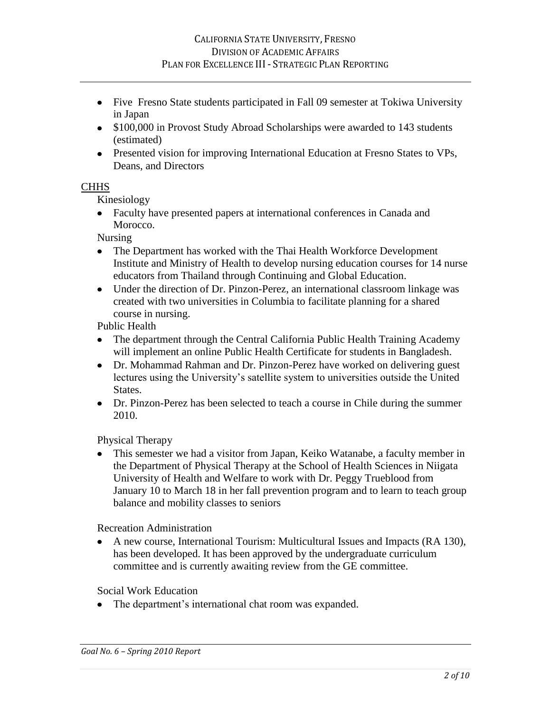- Five Fresno State students participated in Fall 09 semester at Tokiwa University in Japan
- \$100,000 in Provost Study Abroad Scholarships were awarded to 143 students (estimated)
- Presented vision for improving International Education at Fresno States to VPs, Deans, and Directors

### **CHHS**

Kinesiology

Faculty have presented papers at international conferences in Canada and Morocco.

Nursing

- The Department has worked with the Thai Health Workforce Development Institute and Ministry of Health to develop nursing education courses for 14 nurse educators from Thailand through Continuing and Global Education.
- Under the direction of Dr. Pinzon-Perez, an international classroom linkage was created with two universities in Columbia to facilitate planning for a shared course in nursing.

Public Health

- The department through the Central California Public Health Training Academy will implement an online Public Health Certificate for students in Bangladesh.
- Dr. Mohammad Rahman and Dr. Pinzon-Perez have worked on delivering guest lectures using the University's satellite system to universities outside the United States.
- Dr. Pinzon-Perez has been selected to teach a course in Chile during the summer 2010.

Physical Therapy

This semester we had a visitor from Japan, Keiko Watanabe, a faculty member in the Department of Physical Therapy at the School of Health Sciences in Niigata University of Health and Welfare to work with Dr. Peggy Trueblood from January 10 to March 18 in her fall prevention program and to learn to teach group balance and mobility classes to seniors

Recreation Administration

A new course, International Tourism: Multicultural Issues and Impacts (RA 130), has been developed. It has been approved by the undergraduate curriculum committee and is currently awaiting review from the GE committee.

Social Work Education

• The department's international chat room was expanded.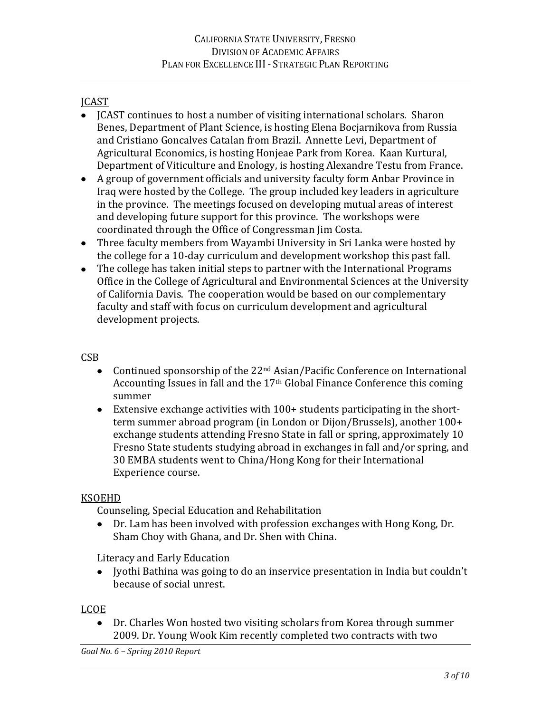# JCAST

- ICAST continues to host a number of visiting international scholars. Sharon Benes, Department of Plant Science, is hosting Elena Bocjarnikova from Russia and Cristiano Goncalves Catalan from Brazil. Annette Levi, Department of Agricultural Economics, is hosting Honjeae Park from Korea. Kaan Kurtural, Department of Viticulture and Enology, is hosting Alexandre Testu from France.
- A group of government officials and university faculty form Anbar Province in Iraq were hosted by the College. The group included key leaders in agriculture in the province. The meetings focused on developing mutual areas of interest and developing future support for this province. The workshops were coordinated through the Office of Congressman Jim Costa.
- Three faculty members from Wayambi University in Sri Lanka were hosted by the college for a 10-day curriculum and development workshop this past fall.
- The college has taken initial steps to partner with the International Programs Office in the College of Agricultural and Environmental Sciences at the University of California Davis. The cooperation would be based on our complementary faculty and staff with focus on curriculum development and agricultural development projects.

## CSB

- Continued sponsorship of the 22<sup>nd</sup> Asian/Pacific Conference on International Accounting Issues in fall and the 17th Global Finance Conference this coming summer
- Extensive exchange activities with 100+ students participating in the shortterm summer abroad program (in London or Dijon/Brussels), another 100+ exchange students attending Fresno State in fall or spring, approximately 10 Fresno State students studying abroad in exchanges in fall and/or spring, and 30 EMBA students went to China/Hong Kong for their International Experience course.

### KSOEHD

Counseling, Special Education and Rehabilitation

Dr. Lam has been involved with profession exchanges with Hong Kong, Dr. Sham Choy with Ghana, and Dr. Shen with China.

Literacy and Early Education

• Jyothi Bathina was going to do an inservice presentation in India but couldn't because of social unrest.

## LCOE

Dr. Charles Won hosted two visiting scholars from Korea through summer 2009. Dr. Young Wook Kim recently completed two contracts with two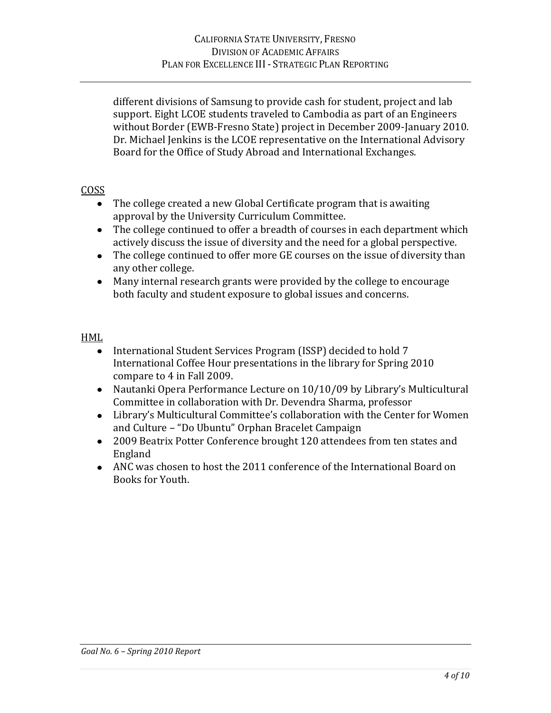different divisions of Samsung to provide cash for student, project and lab support. Eight LCOE students traveled to Cambodia as part of an Engineers without Border (EWB-Fresno State) project in December 2009-January 2010. Dr. Michael Jenkins is the LCOE representative on the International Advisory Board for the Office of Study Abroad and International Exchanges.

### COSS

- The college created a new Global Certificate program that is awaiting approval by the University Curriculum Committee.
- The college continued to offer a breadth of courses in each department which actively discuss the issue of diversity and the need for a global perspective.
- The college continued to offer more GE courses on the issue of diversity than any other college.
- Many internal research grants were provided by the college to encourage both faculty and student exposure to global issues and concerns.

### HML

- International Student Services Program (ISSP) decided to hold 7 International Coffee Hour presentations in the library for Spring 2010 compare to 4 in Fall 2009.
- Nautanki Opera Performance Lecture on 10/10/09 by Library's Multicultural Committee in collaboration with Dr. Devendra Sharma, professor
- Library's Multicultural Committee's collaboration with the Center for Women and Culture – "Do Ubuntu" Orphan Bracelet Campaign
- 2009 Beatrix Potter Conference brought 120 attendees from ten states and England
- ANC was chosen to host the 2011 conference of the International Board on Books for Youth.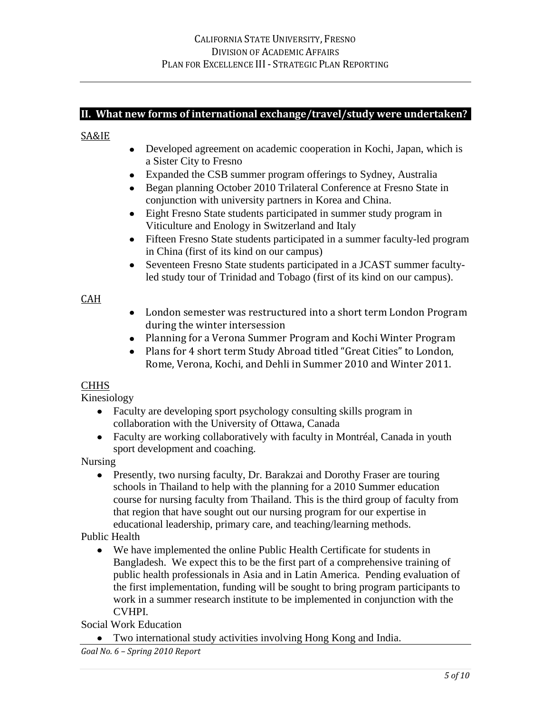# **II. What new forms of international exchange/travel/study were undertaken?**

#### SA&IE

- Developed agreement on academic cooperation in Kochi, Japan, which is a Sister City to Fresno
- Expanded the CSB summer program offerings to Sydney, Australia
- Began planning October 2010 Trilateral Conference at Fresno State in  $\bullet$ conjunction with university partners in Korea and China.
- Eight Fresno State students participated in summer study program in Viticulture and Enology in Switzerland and Italy
- Fifteen Fresno State students participated in a summer faculty-led program in China (first of its kind on our campus)
- Seventeen Fresno State students participated in a JCAST summer faculty- $\bullet$ led study tour of Trinidad and Tobago (first of its kind on our campus).

### CAH

- London semester was restructured into a short term London Program during the winter intersession
- Planning for a Verona Summer Program and Kochi Winter Program
- Plans for 4 short term Study Abroad titled "Great Cities" to London, Rome, Verona, Kochi, and Dehli in Summer 2010 and Winter 2011.

### **CHHS**

Kinesiology

- Faculty are developing sport psychology consulting skills program in collaboration with the University of Ottawa, Canada
- Faculty are working collaboratively with faculty in Montréal, Canada in youth sport development and coaching.

Nursing

• Presently, two nursing faculty, Dr. Barakzai and Dorothy Fraser are touring schools in Thailand to help with the planning for a 2010 Summer education course for nursing faculty from Thailand. This is the third group of faculty from that region that have sought out our nursing program for our expertise in educational leadership, primary care, and teaching/learning methods.

Public Health

 $\bullet$ We have implemented the online Public Health Certificate for students in Bangladesh. We expect this to be the first part of a comprehensive training of public health professionals in Asia and in Latin America. Pending evaluation of the first implementation, funding will be sought to bring program participants to work in a summer research institute to be implemented in conjunction with the CVHPI.

Social Work Education

Two international study activities involving Hong Kong and India.

*Goal No. 6 – Spring 2010 Report*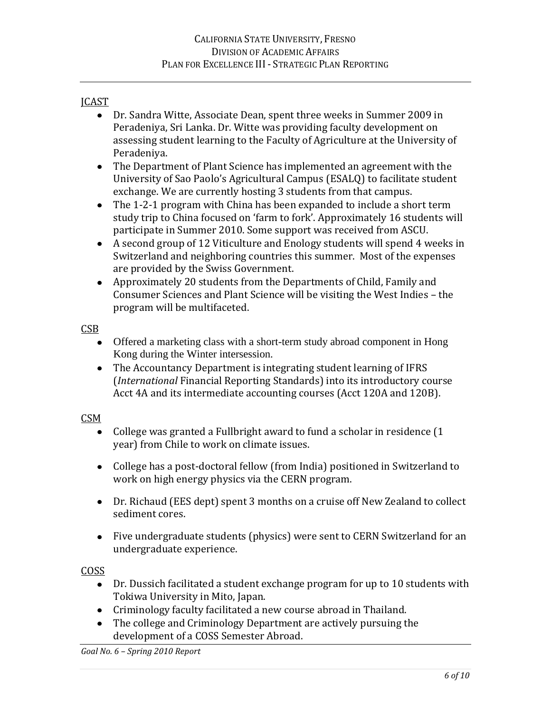## JCAST

- Dr. Sandra Witte, Associate Dean, spent three weeks in Summer 2009 in Peradeniya, Sri Lanka. Dr. Witte was providing faculty development on assessing student learning to the Faculty of Agriculture at the University of Peradeniya.
- The Department of Plant Science has implemented an agreement with the University of Sao Paolo's Agricultural Campus (ESALQ) to facilitate student exchange. We are currently hosting 3 students from that campus.
- The 1-2-1 program with China has been expanded to include a short term study trip to China focused on 'farm to fork'. Approximately 16 students will participate in Summer 2010. Some support was received from ASCU.
- A second group of 12 Viticulture and Enology students will spend 4 weeks in Switzerland and neighboring countries this summer. Most of the expenses are provided by the Swiss Government.
- Approximately 20 students from the Departments of Child, Family and Consumer Sciences and Plant Science will be visiting the West Indies – the program will be multifaceted.

CSB

- Offered a marketing class with a short-term study abroad component in Hong Kong during the Winter intersession.
- The Accountancy Department is integrating student learning of IFRS (*International* Financial Reporting Standards) into its introductory course Acct 4A and its intermediate accounting courses (Acct 120A and 120B).

CSM

- College was granted a Fullbright award to fund a scholar in residence (1 year) from Chile to work on climate issues.
- College has a post-doctoral fellow (from India) positioned in Switzerland to work on high energy physics via the CERN program.
- Dr. Richaud (EES dept) spent 3 months on a cruise off New Zealand to collect sediment cores.
- Five undergraduate students (physics) were sent to CERN Switzerland for an undergraduate experience.

COSS

- Dr. Dussich facilitated a student exchange program for up to 10 students with Tokiwa University in Mito, Japan.
- Criminology faculty facilitated a new course abroad in Thailand.
- The college and Criminology Department are actively pursuing the development of a COSS Semester Abroad.

*Goal No. 6 – Spring 2010 Report*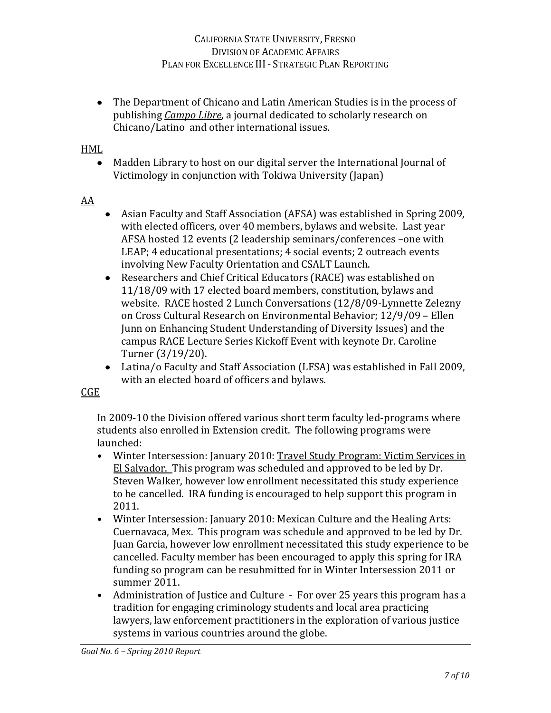The Department of Chicano and Latin American Studies is in the process of publishing *Campo Libre*, a journal dedicated to scholarly research on Chicano/Latino and other international issues.

### HML

Madden Library to host on our digital server the International Journal of Victimology in conjunction with Tokiwa University (Japan)

### AA

- Asian Faculty and Staff Association (AFSA) was established in Spring 2009, with elected officers, over 40 members, bylaws and website. Last year AFSA hosted 12 events (2 leadership seminars/conferences –one with LEAP; 4 educational presentations; 4 social events; 2 outreach events involving New Faculty Orientation and CSALT Launch.
- Researchers and Chief Critical Educators (RACE) was established on 11/18/09 with 17 elected board members, constitution, bylaws and website. RACE hosted 2 Lunch Conversations (12/8/09-Lynnette Zelezny on Cross Cultural Research on Environmental Behavior; 12/9/09 – Ellen Junn on Enhancing Student Understanding of Diversity Issues) and the campus RACE Lecture Series Kickoff Event with keynote Dr. Caroline Turner (3/19/20).
- Latina/o Faculty and Staff Association (LFSA) was established in Fall 2009, with an elected board of officers and bylaws.

### CGE

In 2009-10 the Division offered various short term faculty led-programs where students also enrolled in Extension credit. The following programs were launched:

- **•** Winter Intersession: January 2010: Travel Study Program: Victim Services in El Salvador. This program was scheduled and approved to be led by Dr. Steven Walker, however low enrollment necessitated this study experience to be cancelled. IRA funding is encouraged to help support this program in 2011.
- **•** Winter Intersession: January 2010: Mexican Culture and the Healing Arts: Cuernavaca, Mex. This program was schedule and approved to be led by Dr. Juan Garcia, however low enrollment necessitated this study experience to be cancelled. Faculty member has been encouraged to apply this spring for IRA funding so program can be resubmitted for in Winter Intersession 2011 or summer 2011.
- **•** Administration of Justice and Culture For over 25 years this program has a tradition for engaging criminology students and local area practicing lawyers, law enforcement practitioners in the exploration of various justice systems in various countries around the globe.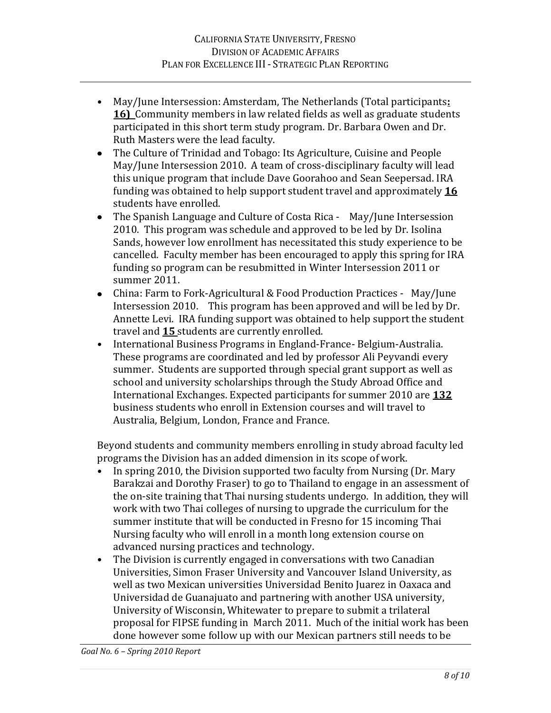- **•** May/June Intersession: Amsterdam, The Netherlands (Total participants**: 16)** Community members in law related fields as well as graduate students participated in this short term study program. Dr. Barbara Owen and Dr. Ruth Masters were the lead faculty.
- $\bullet$ The Culture of Trinidad and Tobago: Its Agriculture, Cuisine and People May/June Intersession 2010. A team of cross-disciplinary faculty will lead this unique program that include Dave Goorahoo and Sean Seepersad. IRA funding was obtained to help support student travel and approximately **16**  students have enrolled.
- $\bullet$ The Spanish Language and Culture of Costa Rica - May/June Intersession 2010. This program was schedule and approved to be led by Dr. Isolina Sands, however low enrollment has necessitated this study experience to be cancelled. Faculty member has been encouraged to apply this spring for IRA funding so program can be resubmitted in Winter Intersession 2011 or summer 2011.
- China: Farm to Fork-Agricultural & Food Production Practices May/June Intersession 2010. This program has been approved and will be led by Dr. Annette Levi. IRA funding support was obtained to help support the student travel and **15** students are currently enrolled.
- **•** International Business Programs in England-France- Belgium-Australia. These programs are coordinated and led by professor Ali Peyvandi every summer. Students are supported through special grant support as well as school and university scholarships through the Study Abroad Office and International Exchanges. Expected participants for summer 2010 are **132**  business students who enroll in Extension courses and will travel to Australia, Belgium, London, France and France.

Beyond students and community members enrolling in study abroad faculty led programs the Division has an added dimension in its scope of work.

- **•** In spring 2010, the Division supported two faculty from Nursing (Dr. Mary Barakzai and Dorothy Fraser) to go to Thailand to engage in an assessment of the on-site training that Thai nursing students undergo. In addition, they will work with two Thai colleges of nursing to upgrade the curriculum for the summer institute that will be conducted in Fresno for 15 incoming Thai Nursing faculty who will enroll in a month long extension course on advanced nursing practices and technology.
- **•** The Division is currently engaged in conversations with two Canadian Universities, Simon Fraser University and Vancouver Island University, as well as two Mexican universities Universidad Benito Juarez in Oaxaca and Universidad de Guanajuato and partnering with another USA university, University of Wisconsin, Whitewater to prepare to submit a trilateral proposal for FIPSE funding in March 2011. Much of the initial work has been done however some follow up with our Mexican partners still needs to be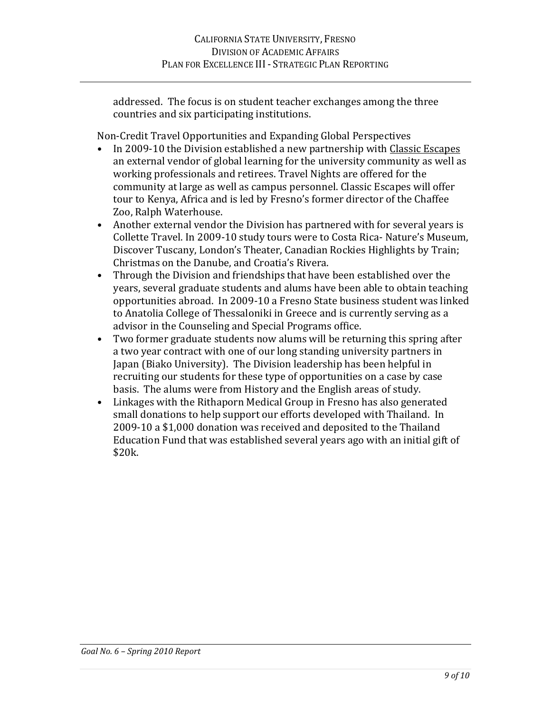addressed. The focus is on student teacher exchanges among the three countries and six participating institutions.

Non-Credit Travel Opportunities and Expanding Global Perspectives

- In 2009-10 the Division established a new partnership with Classic Escapes an external vendor of global learning for the university community as well as working professionals and retirees. Travel Nights are offered for the community at large as well as campus personnel. Classic Escapes will offer tour to Kenya, Africa and is led by Fresno's former director of the Chaffee Zoo, Ralph Waterhouse.
- **•** Another external vendor the Division has partnered with for several years is Collette Travel. In 2009-10 study tours were to Costa Rica- Nature's Museum, Discover Tuscany, London's Theater, Canadian Rockies Highlights by Train; Christmas on the Danube, and Croatia's Rivera.
- **•** Through the Division and friendships that have been established over the years, several graduate students and alums have been able to obtain teaching opportunities abroad. In 2009-10 a Fresno State business student was linked to Anatolia College of Thessaloniki in Greece and is currently serving as a advisor in the Counseling and Special Programs office.
- **•** Two former graduate students now alums will be returning this spring after a two year contract with one of our long standing university partners in Japan (Biako University). The Division leadership has been helpful in recruiting our students for these type of opportunities on a case by case basis. The alums were from History and the English areas of study.
- **•** Linkages with the Rithaporn Medical Group in Fresno has also generated small donations to help support our efforts developed with Thailand. In 2009-10 a \$1,000 donation was received and deposited to the Thailand Education Fund that was established several years ago with an initial gift of \$20k.